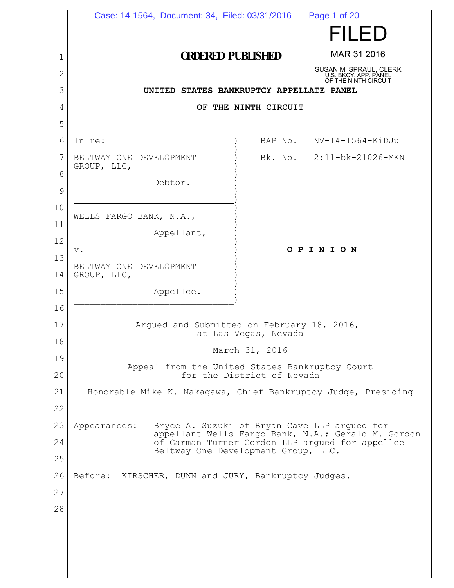|          | Case: 14-1564, Document: 34, Filed: 03/31/2016  Page 1 of 20                                                                                                                                                 |         |                                                 |
|----------|--------------------------------------------------------------------------------------------------------------------------------------------------------------------------------------------------------------|---------|-------------------------------------------------|
|          |                                                                                                                                                                                                              |         | FILED                                           |
| 1        | <b>ORDERED PUBLISHED</b>                                                                                                                                                                                     |         | MAR 31 2016                                     |
| 2        |                                                                                                                                                                                                              |         | SUSAN M. SPRAUL, CLERK<br>U.S. BKCY. APP. PANEL |
| 3        | OF THE NINTH CIRCUIT<br>UNITED STATES BANKRUPTCY APPELLATE PANEL                                                                                                                                             |         |                                                 |
| 4        | OF THE NINTH CIRCUIT                                                                                                                                                                                         |         |                                                 |
| 5        |                                                                                                                                                                                                              |         |                                                 |
| 6        | In re:                                                                                                                                                                                                       | BAP No. | NV-14-1564-KiDJu                                |
| 7        | BELTWAY ONE DEVELOPMENT<br>GROUP, LLC,                                                                                                                                                                       |         | Bk. No. 2:11-bk-21026-MKN                       |
| 8        | Debtor.                                                                                                                                                                                                      |         |                                                 |
| 9        |                                                                                                                                                                                                              |         |                                                 |
| 10       | WELLS FARGO BANK, N.A.,                                                                                                                                                                                      |         |                                                 |
| 11       | Appellant,                                                                                                                                                                                                   |         |                                                 |
| 12<br>13 | v.                                                                                                                                                                                                           |         | OPINION                                         |
| 14       | BELTWAY ONE DEVELOPMENT<br>GROUP, LLC,                                                                                                                                                                       |         |                                                 |
| 15       | Appellee.                                                                                                                                                                                                    |         |                                                 |
| 16       |                                                                                                                                                                                                              |         |                                                 |
| 17       | Arqued and Submitted on February 18, 2016,                                                                                                                                                                   |         |                                                 |
| 18       | at Las Vegas, Nevada                                                                                                                                                                                         |         |                                                 |
| 19       | March 31, 2016                                                                                                                                                                                               |         |                                                 |
| 20       | Appeal from the United States Bankruptcy Court<br>for the District of Nevada                                                                                                                                 |         |                                                 |
| 21       | Honorable Mike K. Nakagawa, Chief Bankruptcy Judge, Presiding                                                                                                                                                |         |                                                 |
| 22       |                                                                                                                                                                                                              |         |                                                 |
| 23       | Bryce A. Suzuki of Bryan Cave LLP arqued for<br>Appearances:<br>appellant Wells Fargo Bank, N.A.; Gerald M. Gordon<br>of Garman Turner Gordon LLP argued for appellee<br>Beltway One Development Group, LLC. |         |                                                 |
| 24       |                                                                                                                                                                                                              |         |                                                 |
| 25       |                                                                                                                                                                                                              |         |                                                 |
| 26       | Before: KIRSCHER, DUNN and JURY, Bankruptcy Judges.                                                                                                                                                          |         |                                                 |
| 27       |                                                                                                                                                                                                              |         |                                                 |
| 28       |                                                                                                                                                                                                              |         |                                                 |
|          |                                                                                                                                                                                                              |         |                                                 |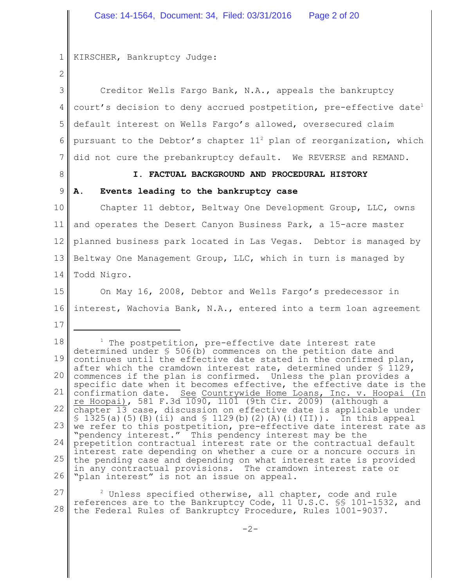#### 1 KIRSCHER, Bankruptcy Judge:

2

3 4 5 6 7 Creditor Wells Fargo Bank, N.A., appeals the bankruptcy court's decision to deny accrued postpetition, pre-effective date<sup>1</sup> default interest on Wells Fargo's allowed, oversecured claim pursuant to the Debtor's chapter  $11<sup>2</sup>$  plan of reorganization, which did not cure the prebankruptcy default. We REVERSE and REMAND.

8

#### **I. FACTUAL BACKGROUND AND PROCEDURAL HISTORY**

# 9

17

# **A. Events leading to the bankruptcy case**

10 11 12 13 14 Chapter 11 debtor, Beltway One Development Group, LLC, owns and operates the Desert Canyon Business Park, a 15-acre master planned business park located in Las Vegas. Debtor is managed by Beltway One Management Group, LLC, which in turn is managed by Todd Nigro.

15 16 On May 16, 2008, Debtor and Wells Fargo's predecessor in interest, Wachovia Bank, N.A., entered into a term loan agreement

18 19 20 21 22 23 24 25 26  $1$  The postpetition, pre-effective date interest rate determined under § 506(b) commences on the petition date and continues until the effective date stated in the confirmed plan, after which the cramdown interest rate, determined under § 1129, commences if the plan is confirmed. Unless the plan provides a specific date when it becomes effective, the effective date is the confirmation date. See Countrywide Home Loans, Inc. v. Hoopai (In re Hoopai), 581 F.3d 1090, 1101 (9th Cir. 2009) (although a chapter 13 case, discussion on effective date is applicable under  $\S$  1325(a)(5)(B)(ii) and  $\S$  1129(b)(2)(A)(i)(II)). In this appeal we refer to this postpetition, pre-effective date interest rate as "pendency interest." This pendency interest may be the prepetition contractual interest rate or the contractual default interest rate depending on whether a cure or a noncure occurs in the pending case and depending on what interest rate is provided in any contractual provisions. The cramdown interest rate or "plan interest" is not an issue on appeal.

27 28  $2$  Unless specified otherwise, all chapter, code and rule references are to the Bankruptcy Code, 11 U.S.C. §§ 101-1532, and the Federal Rules of Bankruptcy Procedure, Rules 1001-9037.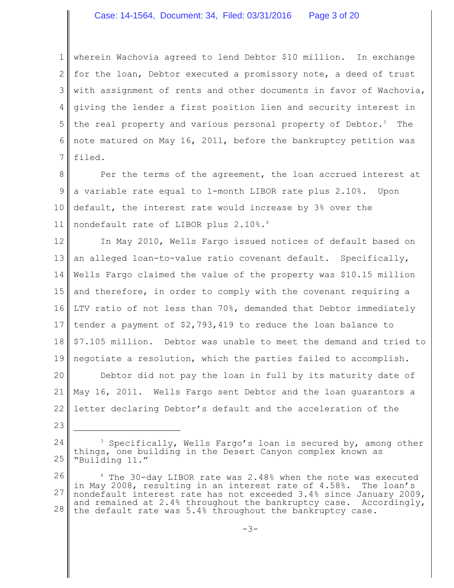#### Case: 14-1564, Document: 34, Filed: 03/31/2016 Page 3 of 20

1 2 3 4 5 6 7 wherein Wachovia agreed to lend Debtor \$10 million. In exchange for the loan, Debtor executed a promissory note, a deed of trust with assignment of rents and other documents in favor of Wachovia, giving the lender a first position lien and security interest in the real property and various personal property of Debtor.<sup>3</sup> The note matured on May 16, 2011, before the bankruptcy petition was filed.

8 9 10 11 Per the terms of the agreement, the loan accrued interest at a variable rate equal to 1-month LIBOR rate plus 2.10%. Upon default, the interest rate would increase by 3% over the nondefault rate of LIBOR plus 2.10%.<sup>4</sup>

12 13 14 15 16 17 18 19 In May 2010, Wells Fargo issued notices of default based on an alleged loan-to-value ratio covenant default. Specifically, Wells Fargo claimed the value of the property was \$10.15 million and therefore, in order to comply with the covenant requiring a LTV ratio of not less than 70%, demanded that Debtor immediately tender a payment of \$2,793,419 to reduce the loan balance to \$7.105 million. Debtor was unable to meet the demand and tried to negotiate a resolution, which the parties failed to accomplish.

20 21 22 Debtor did not pay the loan in full by its maturity date of May 16, 2011. Wells Fargo sent Debtor and the loan guarantors a letter declaring Debtor's default and the acceleration of the

23

<sup>24</sup> 25 <sup>3</sup> Specifically, Wells Fargo's loan is secured by, among other things, one building in the Desert Canyon complex known as "Building 11."

<sup>26</sup> 27 28 <sup>4</sup> The 30-day LIBOR rate was 2.48% when the note was executed in May 2008, resulting in an interest rate of 4.58%. The loan's nondefault interest rate has not exceeded 3.4% since January 2009, and remained at 2.4% throughout the bankruptcy case. Accordingly, the default rate was 5.4% throughout the bankruptcy case.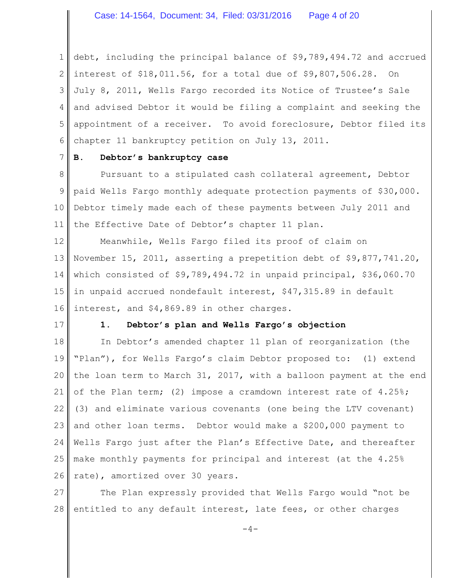1 2 3 4 5 6 debt, including the principal balance of \$9,789,494.72 and accrued interest of \$18,011.56, for a total due of \$9,807,506.28. On July 8, 2011, Wells Fargo recorded its Notice of Trustee's Sale and advised Debtor it would be filing a complaint and seeking the appointment of a receiver. To avoid foreclosure, Debtor filed its chapter 11 bankruptcy petition on July 13, 2011.

# **B. Debtor's bankruptcy case**

8 9 10 11 Pursuant to a stipulated cash collateral agreement, Debtor paid Wells Fargo monthly adequate protection payments of \$30,000. Debtor timely made each of these payments between July 2011 and the Effective Date of Debtor's chapter 11 plan.

12 13 14 15 16 Meanwhile, Wells Fargo filed its proof of claim on November 15, 2011, asserting a prepetition debt of \$9,877,741.20, which consisted of \$9,789,494.72 in unpaid principal, \$36,060.70 in unpaid accrued nondefault interest, \$47,315.89 in default interest, and \$4,869.89 in other charges.

17

7

#### **1. Debtor's plan and Wells Fargo's objection**

18 19 20 21 22 23 24 25 26 In Debtor's amended chapter 11 plan of reorganization (the "Plan"), for Wells Fargo's claim Debtor proposed to: (1) extend the loan term to March 31, 2017, with a balloon payment at the end of the Plan term; (2) impose a cramdown interest rate of 4.25%; (3) and eliminate various covenants (one being the LTV covenant) and other loan terms. Debtor would make a \$200,000 payment to Wells Fargo just after the Plan's Effective Date, and thereafter make monthly payments for principal and interest (at the 4.25% rate), amortized over 30 years.

27 28 The Plan expressly provided that Wells Fargo would "not be entitled to any default interest, late fees, or other charges

 $-4-$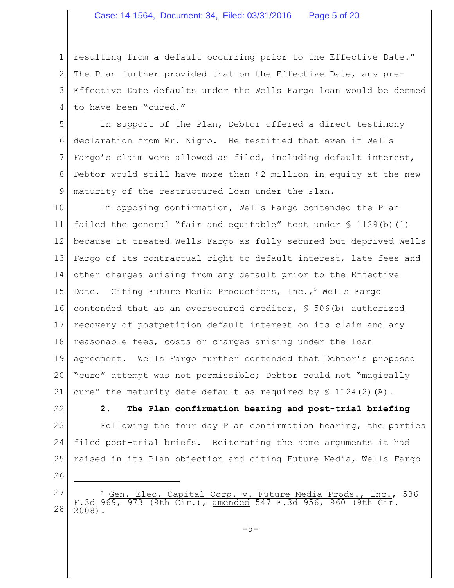#### Case: 14-1564, Document: 34, Filed: 03/31/2016 Page 5 of 20

1 2 3 4 resulting from a default occurring prior to the Effective Date." The Plan further provided that on the Effective Date, any pre-Effective Date defaults under the Wells Fargo loan would be deemed to have been "cured."

5 6 7 8 9 In support of the Plan, Debtor offered a direct testimony declaration from Mr. Nigro. He testified that even if Wells Fargo's claim were allowed as filed, including default interest, Debtor would still have more than \$2 million in equity at the new maturity of the restructured loan under the Plan.

10 11 12 13 14 15 16 17 18 19 20 21 In opposing confirmation, Wells Fargo contended the Plan failed the general "fair and equitable" test under  $\S$  1129(b)(1) because it treated Wells Fargo as fully secured but deprived Wells Fargo of its contractual right to default interest, late fees and other charges arising from any default prior to the Effective Date. Citing Future Media Productions, Inc.,<sup>5</sup> Wells Fargo contended that as an oversecured creditor,  $\frac{1}{5}$  506(b) authorized recovery of postpetition default interest on its claim and any reasonable fees, costs or charges arising under the loan agreement. Wells Fargo further contended that Debtor's proposed "cure" attempt was not permissible; Debtor could not "magically cure" the maturity date default as required by  $\Im$  1124(2)(A).

22

23

24

**2. The Plan confirmation hearing and post-trial briefing** Following the four day Plan confirmation hearing, the parties filed post-trial briefs. Reiterating the same arguments it had raised in its Plan objection and citing Future Media, Wells Fargo

26

25

27 28  $\frac{5}{5}$  Gen. Elec. Capital Corp. v. Future Media Prods., Inc., 536<br>F.3d 969, 973 (9th Cir.), amended 547 F.3d 956, 960 (9th Cir. amended 547 F.3d 956, 960 (9th 2008).

 $-5-$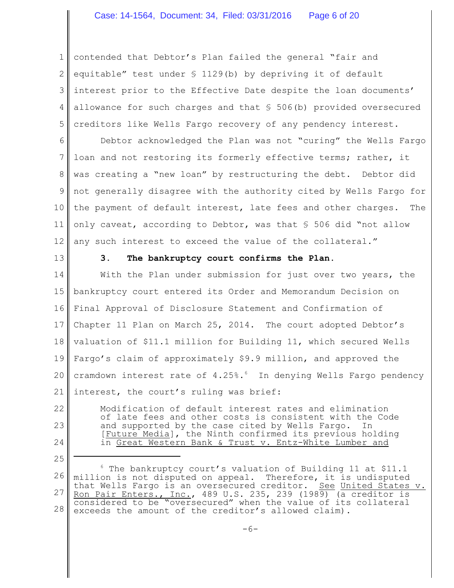1 2 3 4 5 contended that Debtor's Plan failed the general "fair and equitable" test under § 1129(b) by depriving it of default interest prior to the Effective Date despite the loan documents' allowance for such charges and that § 506(b) provided oversecured creditors like Wells Fargo recovery of any pendency interest.

6 7 8 9 10 11 12 Debtor acknowledged the Plan was not "curing" the Wells Fargo loan and not restoring its formerly effective terms; rather, it was creating a "new loan" by restructuring the debt. Debtor did not generally disagree with the authority cited by Wells Fargo for the payment of default interest, late fees and other charges. The only caveat, according to Debtor, was that § 506 did "not allow any such interest to exceed the value of the collateral."

13

25

# **3. The bankruptcy court confirms the Plan.**

14 15 16 17 18 19 20 21 With the Plan under submission for just over two years, the bankruptcy court entered its Order and Memorandum Decision on Final Approval of Disclosure Statement and Confirmation of Chapter 11 Plan on March 25, 2014. The court adopted Debtor's valuation of \$11.1 million for Building 11, which secured Wells Fargo's claim of approximately \$9.9 million, and approved the cramdown interest rate of 4.25%.<sup>6</sup> In denying Wells Fargo pendency interest, the court's ruling was brief:

22 23 24 Modification of default interest rates and elimination of late fees and other costs is consistent with the Code and supported by the case cited by Wells Fargo. In [Future Media], the Ninth confirmed its previous holding in Great Western Bank & Trust v. Entz-White Lumber and

<sup>26</sup> 27 28  $6$  The bankruptcy court's valuation of Building 11 at \$11.1 million is not disputed on appeal. Therefore, it is undisputed million is not dispaced on eppension on the control of the United States v. Ron Pair Enters., Inc., 489 U.S. 235, 239 (1989) (a creditor is considered to be "oversecured" when the value of its collateral exceeds the amount of the creditor's allowed claim).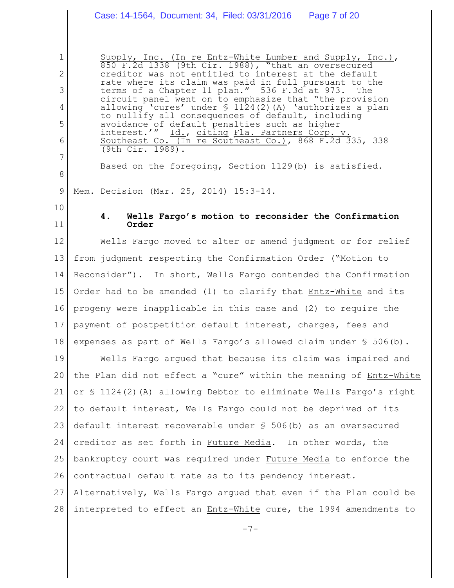# Case: 14-1564, Document: 34, Filed: 03/31/2016 Page 7 of 20

Supply, Inc. (In re Entz-White Lumber and Supply, Inc.), 850 F.2d 1338 (9th Cir. 1988), "that an oversecured creditor was not entitled to interest at the default rate where its claim was paid in full pursuant to the terms of a Chapter 11 plan." 536 F.3d at 973. The circuit panel went on to emphasize that "the provision allowing 'cures' under  $\frac{124(2)}{24}$  (A) 'authorizes a plan to nullify all consequences of default, including avoidance of default penalties such as higher interest.'" Id., citing Fla. Partners Corp. v. Southeast Co. (In re Southeast Co.), 868 F.2d 335, 338 (9th Cir. 1989).

Based on the foregoing, Section 1129(b) is satisfied.

9 Mem. Decision (Mar. 25, 2014) 15:3-14.

10

1

2

3

4

5

6

7

8

11

# **4. Wells Fargo's motion to reconsider the Confirmation Order**

12 13 14 15 16 17 18 Wells Fargo moved to alter or amend judgment or for relief from judgment respecting the Confirmation Order ("Motion to Reconsider"). In short, Wells Fargo contended the Confirmation Order had to be amended (1) to clarify that Entz-White and its progeny were inapplicable in this case and (2) to require the payment of postpetition default interest, charges, fees and expenses as part of Wells Fargo's allowed claim under § 506(b).

19 20 21 22 23 24 25 26 27 Wells Fargo argued that because its claim was impaired and the Plan did not effect a "cure" within the meaning of Entz-White or § 1124(2)(A) allowing Debtor to eliminate Wells Fargo's right to default interest, Wells Fargo could not be deprived of its default interest recoverable under § 506(b) as an oversecured creditor as set forth in Future Media. In other words, the bankruptcy court was required under Future Media to enforce the contractual default rate as to its pendency interest. Alternatively, Wells Fargo argued that even if the Plan could be

28 interpreted to effect an Entz-White cure, the 1994 amendments to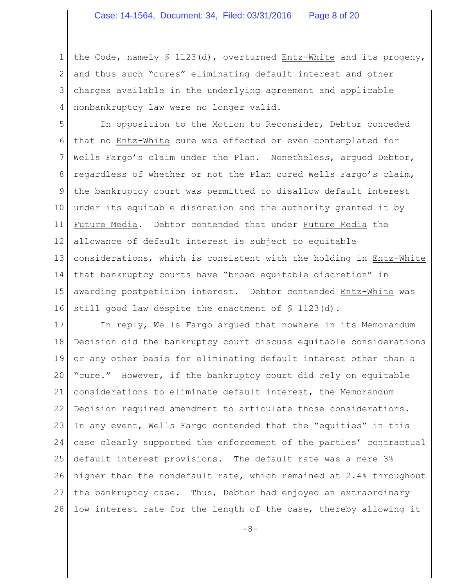1 2 3 4 the Code, namely § 1123(d), overturned Entz-White and its progeny, and thus such "cures" eliminating default interest and other charges available in the underlying agreement and applicable nonbankruptcy law were no longer valid.

5 6 7 8 9 10 11 12 13 14 15 16 In opposition to the Motion to Reconsider, Debtor conceded that no Entz-White cure was effected or even contemplated for Wells Fargo's claim under the Plan. Nonetheless, argued Debtor, regardless of whether or not the Plan cured Wells Fargo's claim, the bankruptcy court was permitted to disallow default interest under its equitable discretion and the authority granted it by Future Media. Debtor contended that under Future Media the allowance of default interest is subject to equitable considerations, which is consistent with the holding in Entz-White that bankruptcy courts have "broad equitable discretion" in awarding postpetition interest. Debtor contended Entz-White was still good law despite the enactment of § 1123(d).

17 18 19 20 21 22 23 24 25 26 27 28 In reply, Wells Fargo argued that nowhere in its Memorandum Decision did the bankruptcy court discuss equitable considerations or any other basis for eliminating default interest other than a "cure." However, if the bankruptcy court did rely on equitable considerations to eliminate default interest, the Memorandum Decision required amendment to articulate those considerations. In any event, Wells Fargo contended that the "equities" in this case clearly supported the enforcement of the parties' contractual default interest provisions. The default rate was a mere 3% higher than the nondefault rate, which remained at 2.4% throughout the bankruptcy case. Thus, Debtor had enjoyed an extraordinary low interest rate for the length of the case, thereby allowing it

 $-8-$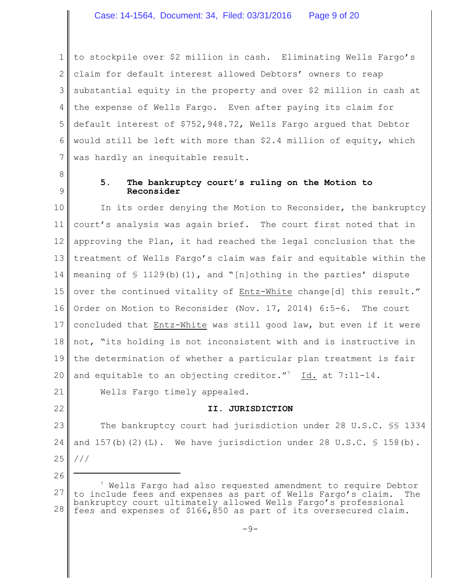1 2 3 4 5 6 7 to stockpile over \$2 million in cash. Eliminating Wells Fargo's claim for default interest allowed Debtors' owners to reap substantial equity in the property and over \$2 million in cash at the expense of Wells Fargo. Even after paying its claim for default interest of \$752,948.72, Wells Fargo argued that Debtor would still be left with more than \$2.4 million of equity, which was hardly an inequitable result.

8 9

# **5. The bankruptcy court's ruling on the Motion to Reconsider**

10 11 12 13 14 15 16 17 18 19 20 In its order denying the Motion to Reconsider, the bankruptcy court's analysis was again brief. The court first noted that in approving the Plan, it had reached the legal conclusion that the treatment of Wells Fargo's claim was fair and equitable within the meaning of  $\frac{129(b)(1)}{116}$ , and "[n]othing in the parties' dispute over the continued vitality of Entz-White change[d] this result." Order on Motion to Reconsider (Nov. 17, 2014) 6:5-6. The court concluded that Entz-White was still good law, but even if it were not, "its holding is not inconsistent with and is instructive in the determination of whether a particular plan treatment is fair and equitable to an objecting creditor."<sup>7</sup> Id. at  $7:11-14$ .

21 22

26

# **II. JURISDICTION**

Wells Fargo timely appealed.

23 24 25 The bankruptcy court had jurisdiction under 28 U.S.C. §§ 1334 and  $157(b)(2)(L)$ . We have jurisdiction under 28 U.S.C. § 158(b). ///

<sup>27</sup> 28  $7$  Wells Fargo had also requested amendment to require Debtor to include fees and expenses as part of Wells Fargo's claim. The bankruptcy court ultimately allowed Wells Fargo's professional fees and expenses of \$166,850 as part of its oversecured claim.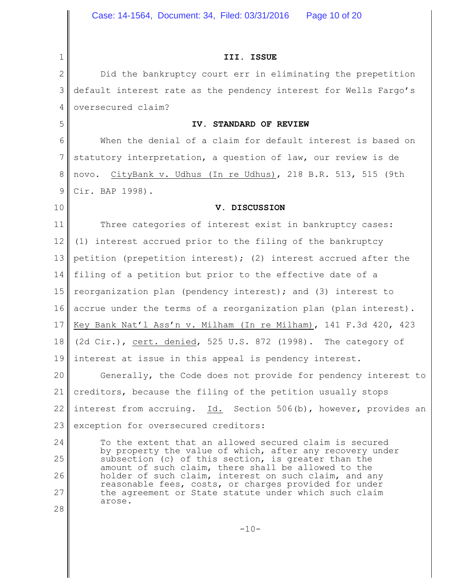**III. ISSUE**

2 3 4 Did the bankruptcy court err in eliminating the prepetition default interest rate as the pendency interest for Wells Fargo's oversecured claim?

#### **IV. STANDARD OF REVIEW**

6 7 8 9 When the denial of a claim for default interest is based on statutory interpretation, a question of law, our review is de novo. CityBank v. Udhus (In re Udhus), 218 B.R. 513, 515 (9th Cir. BAP 1998).

10

1

5

# **V. DISCUSSION**

11 12 13 14 15 16 17 18 19 Three categories of interest exist in bankruptcy cases: (1) interest accrued prior to the filing of the bankruptcy petition (prepetition interest); (2) interest accrued after the filing of a petition but prior to the effective date of a reorganization plan (pendency interest); and (3) interest to accrue under the terms of a reorganization plan (plan interest). Key Bank Nat'l Ass'n v. Milham (In re Milham), 141 F.3d 420, 423 (2d Cir.), cert. denied, 525 U.S. 872 (1998). The category of interest at issue in this appeal is pendency interest.

20 21 22 23 Generally, the Code does not provide for pendency interest to creditors, because the filing of the petition usually stops interest from accruing. Id. Section 506(b), however, provides an exception for oversecured creditors:

24 25 26 27 28 To the extent that an allowed secured claim is secured by property the value of which, after any recovery under subsection (c) of this section, is greater than the amount of such claim, there shall be allowed to the holder of such claim, interest on such claim, and any reasonable fees, costs, or charges provided for under the agreement or State statute under which such claim arose.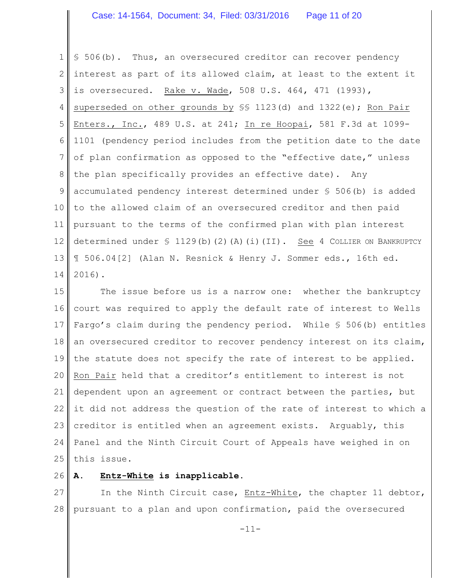#### Case: 14-1564, Document: 34, Filed: 03/31/2016 Page 11 of 20

1 2 3 4 5 6 7 8 9 10 11 12 13 14 § 506(b). Thus, an oversecured creditor can recover pendency interest as part of its allowed claim, at least to the extent it is oversecured. Rake v. Wade, 508 U.S. 464, 471 (1993), superseded on other grounds by  $\S$  1123(d) and 1322(e); Ron Pair Enters., Inc., 489 U.S. at 241; In re Hoopai, 581 F.3d at 1099- 1101 (pendency period includes from the petition date to the date of plan confirmation as opposed to the "effective date," unless the plan specifically provides an effective date). Any accumulated pendency interest determined under § 506(b) is added to the allowed claim of an oversecured creditor and then paid pursuant to the terms of the confirmed plan with plan interest determined under  $\frac{129(b)(2)(h)}{1)}$  (i)(II). See 4 COLLIER ON BANKRUPTCY ¶ 506.04[2] (Alan N. Resnick & Henry J. Sommer eds., 16th ed. 2016).

15 16 17 18 19 20 21 22 23 24 25 The issue before us is a narrow one: whether the bankruptcy court was required to apply the default rate of interest to Wells Fargo's claim during the pendency period. While § 506(b) entitles an oversecured creditor to recover pendency interest on its claim, the statute does not specify the rate of interest to be applied. Ron Pair held that a creditor's entitlement to interest is not dependent upon an agreement or contract between the parties, but it did not address the question of the rate of interest to which a creditor is entitled when an agreement exists. Arguably, this Panel and the Ninth Circuit Court of Appeals have weighed in on this issue.

26 **A. Entz-White is inapplicable.**

27 28 In the Ninth Circuit case, Entz-White, the chapter 11 debtor, pursuant to a plan and upon confirmation, paid the oversecured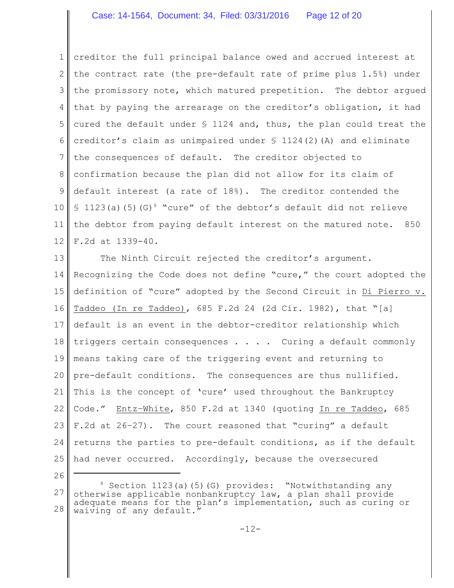1 2 3 4 5 6 7 8 9 10 11 12 creditor the full principal balance owed and accrued interest at the contract rate (the pre-default rate of prime plus 1.5%) under the promissory note, which matured prepetition. The debtor argued that by paying the arrearage on the creditor's obligation, it had cured the default under  $S$  1124 and, thus, the plan could treat the creditor's claim as unimpaired under  $\frac{124(2)}{A}$  and eliminate the consequences of default. The creditor objected to confirmation because the plan did not allow for its claim of default interest (a rate of 18%). The creditor contended the § 1123(a)(5)(G)<sup>8</sup> "cure" of the debtor's default did not relieve the debtor from paying default interest on the matured note. 850 F.2d at 1339-40.

13 14 15 16 17 18 19 20 21 22 23 24 25 The Ninth Circuit rejected the creditor's argument. Recognizing the Code does not define "cure," the court adopted the definition of "cure" adopted by the Second Circuit in Di Pierro v. Taddeo (In re Taddeo), 685 F.2d 24 (2d Cir. 1982), that "[a] default is an event in the debtor-creditor relationship which triggers certain consequences . . . . Curing a default commonly means taking care of the triggering event and returning to pre-default conditions. The consequences are thus nullified. This is the concept of 'cure' used throughout the Bankruptcy Code." Entz–White, 850 F.2d at 1340 (quoting In re Taddeo, 685 F.2d at 26–27). The court reasoned that "curing" a default returns the parties to pre-default conditions, as if the default had never occurred. Accordingly, because the oversecured

26

<sup>27</sup> 28 <sup>8</sup> Section 1123(a)(5)(G) provides: "Notwithstanding any otherwise applicable nonbankruptcy law, a plan shall provide adequate means for the plan's implementation, such as curing or waiving of any default."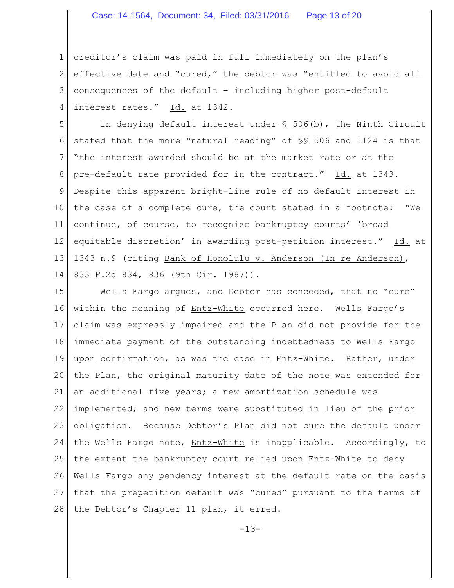1 2 3 4 creditor's claim was paid in full immediately on the plan's effective date and "cured," the debtor was "entitled to avoid all consequences of the default – including higher post-default interest rates." Id. at 1342.

5 6 7 8 9 10 11 12 13 14 In denying default interest under § 506(b), the Ninth Circuit stated that the more "natural reading" of §§ 506 and 1124 is that "the interest awarded should be at the market rate or at the pre-default rate provided for in the contract." Id. at 1343. Despite this apparent bright-line rule of no default interest in the case of a complete cure, the court stated in a footnote: "We continue, of course, to recognize bankruptcy courts' 'broad equitable discretion' in awarding post-petition interest." Id. at 1343 n.9 (citing Bank of Honolulu v. Anderson (In re Anderson), 833 F.2d 834, 836 (9th Cir. 1987)).

15 16 17 18 19 20 21 22 23 24 25 26 27 28 Wells Fargo argues, and Debtor has conceded, that no "cure" within the meaning of Entz-White occurred here. Wells Fargo's claim was expressly impaired and the Plan did not provide for the immediate payment of the outstanding indebtedness to Wells Fargo upon confirmation, as was the case in Entz-White. Rather, under the Plan, the original maturity date of the note was extended for an additional five years; a new amortization schedule was implemented; and new terms were substituted in lieu of the prior obligation. Because Debtor's Plan did not cure the default under the Wells Fargo note, Entz-White is inapplicable. Accordingly, to the extent the bankruptcy court relied upon Entz-White to deny Wells Fargo any pendency interest at the default rate on the basis that the prepetition default was "cured" pursuant to the terms of the Debtor's Chapter 11 plan, it erred.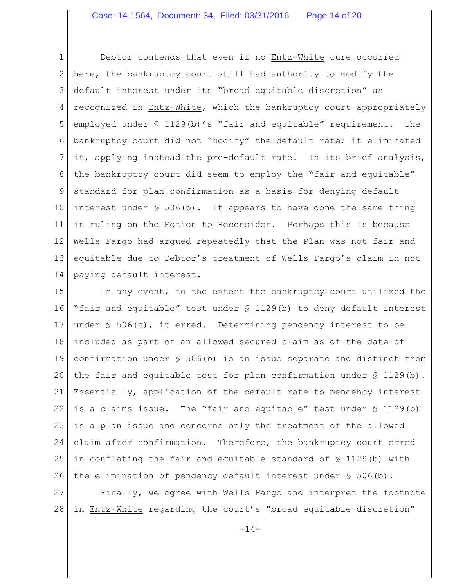1 2 3 4 5 6 7 8 9 10 11 12 13 14 Debtor contends that even if no Entz-White cure occurred here, the bankruptcy court still had authority to modify the default interest under its "broad equitable discretion" as recognized in Entz-White, which the bankruptcy court appropriately employed under § 1129(b)'s "fair and equitable" requirement. The bankruptcy court did not "modify" the default rate; it eliminated it, applying instead the pre-default rate. In its brief analysis, the bankruptcy court did seem to employ the "fair and equitable" standard for plan confirmation as a basis for denying default interest under  $S$  506(b). It appears to have done the same thing in ruling on the Motion to Reconsider. Perhaps this is because Wells Fargo had argued repeatedly that the Plan was not fair and equitable due to Debtor's treatment of Wells Fargo's claim in not paying default interest.

15 16 17 18 19 20 21 22 23 24 25 26 In any event, to the extent the bankruptcy court utilized the "fair and equitable" test under § 1129(b) to deny default interest under § 506(b), it erred. Determining pendency interest to be included as part of an allowed secured claim as of the date of confirmation under § 506(b) is an issue separate and distinct from the fair and equitable test for plan confirmation under § 1129(b). Essentially, application of the default rate to pendency interest is a claims issue. The "fair and equitable" test under  $\S$  1129(b) is a plan issue and concerns only the treatment of the allowed claim after confirmation. Therefore, the bankruptcy court erred in conflating the fair and equitable standard of § 1129(b) with the elimination of pendency default interest under  $\S$  506(b).

27 28 Finally, we agree with Wells Fargo and interpret the footnote in Entz-White regarding the court's "broad equitable discretion"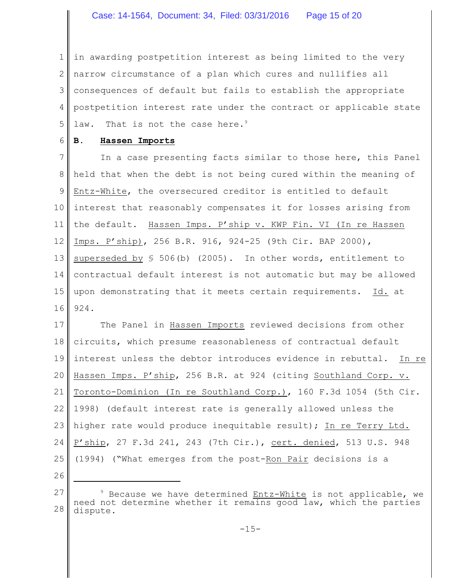1 2 3 4 5 in awarding postpetition interest as being limited to the very narrow circumstance of a plan which cures and nullifies all consequences of default but fails to establish the appropriate postpetition interest rate under the contract or applicable state law. That is not the case here.<sup>9</sup>

6 **B. Hassen Imports**

7 8 9 10 11 12 13 14 15 16 In a case presenting facts similar to those here, this Panel held that when the debt is not being cured within the meaning of Entz-White, the oversecured creditor is entitled to default interest that reasonably compensates it for losses arising from the default. Hassen Imps. P'ship v. KWP Fin. VI (In re Hassen Imps. P'ship), 256 B.R. 916, 924-25 (9th Cir. BAP 2000), superseded by  $$ 506(b)$  (2005). In other words, entitlement to contractual default interest is not automatic but may be allowed upon demonstrating that it meets certain requirements. Id. at 924.

17 18 19 20 21 22 23 24 25 The Panel in Hassen Imports reviewed decisions from other circuits, which presume reasonableness of contractual default interest unless the debtor introduces evidence in rebuttal. In re Hassen Imps. P'ship, 256 B.R. at 924 (citing Southland Corp. v. Toronto-Dominion (In re Southland Corp.), 160 F.3d 1054 (5th Cir. 1998) (default interest rate is generally allowed unless the higher rate would produce inequitable result); In re Terry Ltd. P'ship, 27 F.3d 241, 243 (7th Cir.), cert. denied, 513 U.S. 948 (1994) ("What emerges from the post-Ron Pair decisions is a

26

<sup>27</sup> 28  $9$  Because we have determined Entz-White is not applicable, we need not determine whether it remains good law, which the parties dispute.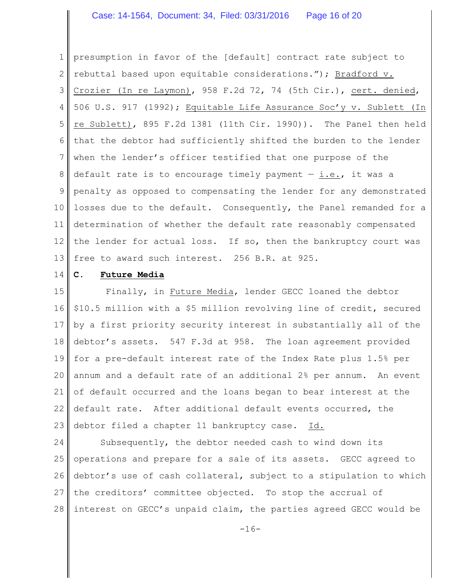#### Case: 14-1564, Document: 34, Filed: 03/31/2016 Page 16 of 20

1 2 3 4 5 6 7 8 9 10 11 12 13 presumption in favor of the [default] contract rate subject to rebuttal based upon equitable considerations."); Bradford v. Crozier (In re Laymon), 958 F.2d 72, 74 (5th Cir.), cert. denied, 506 U.S. 917 (1992); Equitable Life Assurance Soc'y v. Sublett (In re Sublett), 895 F.2d 1381 (11th Cir. 1990)). The Panel then held that the debtor had sufficiently shifted the burden to the lender when the lender's officer testified that one purpose of the default rate is to encourage timely payment  $-$  i.e., it was a penalty as opposed to compensating the lender for any demonstrated losses due to the default. Consequently, the Panel remanded for a determination of whether the default rate reasonably compensated the lender for actual loss. If so, then the bankruptcy court was free to award such interest. 256 B.R. at 925.

14 **C. Future Media**

15 16 17 18 19 20 21 22 23 Finally, in Future Media, lender GECC loaned the debtor \$10.5 million with a \$5 million revolving line of credit, secured by a first priority security interest in substantially all of the debtor's assets. 547 F.3d at 958. The loan agreement provided for a pre-default interest rate of the Index Rate plus 1.5% per annum and a default rate of an additional 2% per annum. An event of default occurred and the loans began to bear interest at the default rate. After additional default events occurred, the debtor filed a chapter 11 bankruptcy case. Id.

24 25 26 27 28 Subsequently, the debtor needed cash to wind down its operations and prepare for a sale of its assets. GECC agreed to debtor's use of cash collateral, subject to a stipulation to which the creditors' committee objected. To stop the accrual of interest on GECC's unpaid claim, the parties agreed GECC would be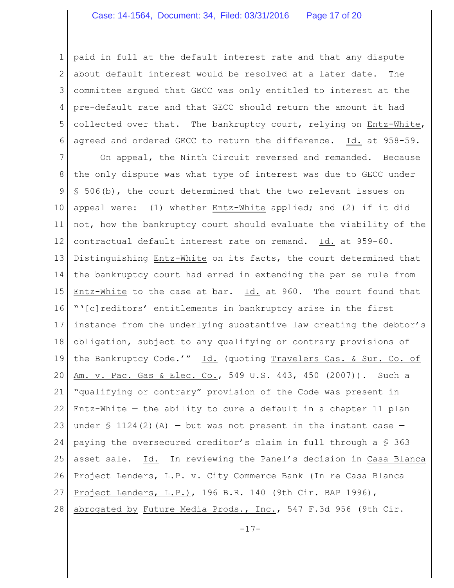1 2 3 4 5 6 paid in full at the default interest rate and that any dispute about default interest would be resolved at a later date. The committee argued that GECC was only entitled to interest at the pre-default rate and that GECC should return the amount it had collected over that. The bankruptcy court, relying on Entz-White, agreed and ordered GECC to return the difference. Id. at 958-59.

7 8 9 10 11 12 13 14 15 16 17 18 19 20 21 22 23 24 25 26 27 28 On appeal, the Ninth Circuit reversed and remanded. Because the only dispute was what type of interest was due to GECC under § 506(b), the court determined that the two relevant issues on appeal were: (1) whether Entz-White applied; and (2) if it did not, how the bankruptcy court should evaluate the viability of the contractual default interest rate on remand. Id. at 959-60. Distinguishing Entz-White on its facts, the court determined that the bankruptcy court had erred in extending the per se rule from Entz-White to the case at bar. Id. at 960. The court found that "'[c]reditors' entitlements in bankruptcy arise in the first instance from the underlying substantive law creating the debtor's obligation, subject to any qualifying or contrary provisions of the Bankruptcy Code.'" Id. (quoting Travelers Cas. & Sur. Co. of Am. v. Pac. Gas & Elec. Co., 549 U.S. 443, 450 (2007)). Such a "qualifying or contrary" provision of the Code was present in Entz-White  $-$  the ability to cure a default in a chapter 11 plan under  $\frac{124(2)}{A}$  – but was not present in the instant case – paying the oversecured creditor's claim in full through a  $$363$ asset sale. Id. In reviewing the Panel's decision in Casa Blanca Project Lenders, L.P. v. City Commerce Bank (In re Casa Blanca Project Lenders, L.P.), 196 B.R. 140 (9th Cir. BAP 1996), abrogated by Future Media Prods., Inc., 547 F.3d 956 (9th Cir.

 $-17-$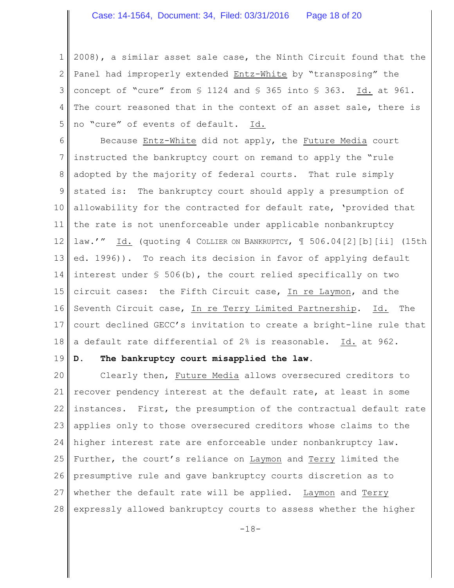1 2 3 4 5 2008), a similar asset sale case, the Ninth Circuit found that the Panel had improperly extended Entz-White by "transposing" the concept of "cure" from § 1124 and § 365 into § 363. Id. at 961. The court reasoned that in the context of an asset sale, there is no "cure" of events of default. Id.

6 7 8 9 10 11 12 13 14 15 16 17 18 Because Entz-White did not apply, the Future Media court instructed the bankruptcy court on remand to apply the "rule adopted by the majority of federal courts. That rule simply stated is: The bankruptcy court should apply a presumption of allowability for the contracted for default rate, 'provided that the rate is not unenforceable under applicable nonbankruptcy law.'" Id. (quoting 4 COLLIER ON BANKRUPTCY, ¶ 506.04[2][b][ii] (15th ed. 1996)). To reach its decision in favor of applying default interest under § 506(b), the court relied specifically on two circuit cases: the Fifth Circuit case, In re Laymon, and the Seventh Circuit case, In re Terry Limited Partnership. Id. The court declined GECC's invitation to create a bright-line rule that a default rate differential of 2% is reasonable. Id. at 962.

#### 19

#### **D. The bankruptcy court misapplied the law.**

20 21 22 23 24 25 26 27 28 Clearly then, Future Media allows oversecured creditors to recover pendency interest at the default rate, at least in some instances. First, the presumption of the contractual default rate applies only to those oversecured creditors whose claims to the higher interest rate are enforceable under nonbankruptcy law. Further, the court's reliance on Laymon and Terry limited the presumptive rule and gave bankruptcy courts discretion as to whether the default rate will be applied. Laymon and Terry expressly allowed bankruptcy courts to assess whether the higher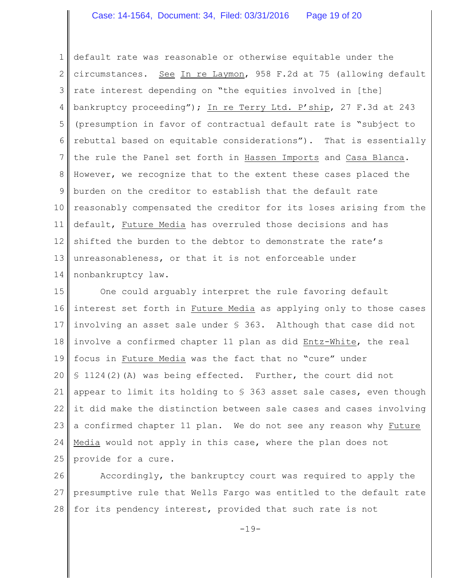# Case: 14-1564, Document: 34, Filed: 03/31/2016 Page 19 of 20

1 2 3 4 5 6 7 8 9 10 11 12 13 14 default rate was reasonable or otherwise equitable under the circumstances. See In re Laymon, 958 F.2d at 75 (allowing default rate interest depending on "the equities involved in [the] bankruptcy proceeding"); In re Terry Ltd. P'ship, 27 F.3d at 243 (presumption in favor of contractual default rate is "subject to rebuttal based on equitable considerations"). That is essentially the rule the Panel set forth in Hassen Imports and Casa Blanca. However, we recognize that to the extent these cases placed the burden on the creditor to establish that the default rate reasonably compensated the creditor for its loses arising from the default, Future Media has overruled those decisions and has shifted the burden to the debtor to demonstrate the rate's unreasonableness, or that it is not enforceable under nonbankruptcy law.

15 16 17 18 19 20 21 22 23 24 25 One could arguably interpret the rule favoring default interest set forth in Future Media as applying only to those cases involving an asset sale under § 363. Although that case did not involve a confirmed chapter 11 plan as did Entz-White, the real focus in Future Media was the fact that no "cure" under § 1124(2)(A) was being effected. Further, the court did not appear to limit its holding to  $S$  363 asset sale cases, even though it did make the distinction between sale cases and cases involving a confirmed chapter 11 plan. We do not see any reason why Future Media would not apply in this case, where the plan does not provide for a cure.

26 27 28 Accordingly, the bankruptcy court was required to apply the presumptive rule that Wells Fargo was entitled to the default rate for its pendency interest, provided that such rate is not